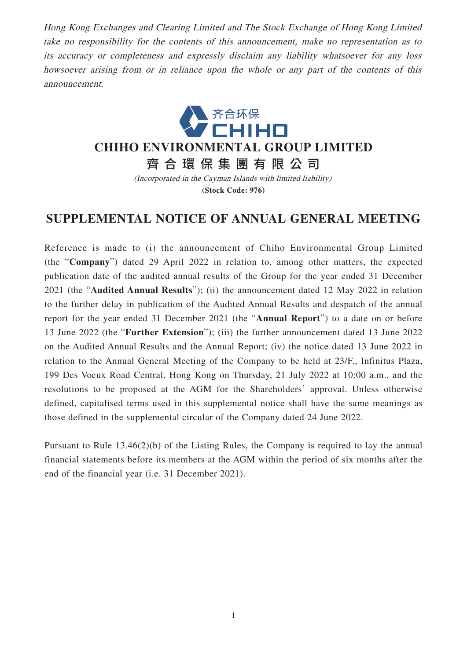Hong Kong Exchanges and Clearing Limited and The Stock Exchange of Hong Kong Limited take no responsibility for the contents of this announcement, make no representation as to its accuracy or completeness and expressly disclaim any liability whatsoever for any loss howsoever arising from or in reliance upon the whole or any part of the contents of this announcement.



## **CHIHO ENVIRONMENTAL GROUP LIMITED**

齊合環保集團有限公 司

(Incorporated in the Cayman Islands with limited liability) **(Stock Code: 976)**

## **SUPPLEMENTAL NOTICE OF ANNUAL GENERAL MEETING**

Reference is made to (i) the announcement of Chiho Environmental Group Limited (the "**Company**") dated 29 April 2022 in relation to, among other matters, the expected publication date of the audited annual results of the Group for the year ended 31 December 2021 (the "**Audited Annual Results**"); (ii) the announcement dated 12 May 2022 in relation to the further delay in publication of the Audited Annual Results and despatch of the annual report for the year ended 31 December 2021 (the "**Annual Report**") to a date on or before 13 June 2022 (the "**Further Extension**"); (iii) the further announcement dated 13 June 2022 on the Audited Annual Results and the Annual Report; (iv) the notice dated 13 June 2022 in relation to the Annual General Meeting of the Company to be held at 23/F., Infinitus Plaza, 199 Des Voeux Road Central, Hong Kong on Thursday, 21 July 2022 at 10:00 a.m., and the resolutions to be proposed at the AGM for the Shareholders' approval. Unless otherwise defined, capitalised terms used in this supplemental notice shall have the same meanings as those defined in the supplemental circular of the Company dated 24 June 2022.

Pursuant to Rule 13.46(2)(b) of the Listing Rules, the Company is required to lay the annual financial statements before its members at the AGM within the period of six months after the end of the financial year (i.e. 31 December 2021).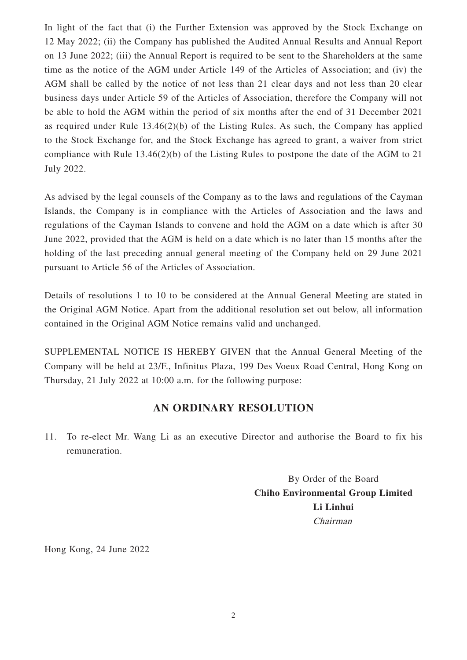In light of the fact that (i) the Further Extension was approved by the Stock Exchange on 12 May 2022; (ii) the Company has published the Audited Annual Results and Annual Report on 13 June 2022; (iii) the Annual Report is required to be sent to the Shareholders at the same time as the notice of the AGM under Article 149 of the Articles of Association; and (iv) the AGM shall be called by the notice of not less than 21 clear days and not less than 20 clear business days under Article 59 of the Articles of Association, therefore the Company will not be able to hold the AGM within the period of six months after the end of 31 December 2021 as required under Rule 13.46(2)(b) of the Listing Rules. As such, the Company has applied to the Stock Exchange for, and the Stock Exchange has agreed to grant, a waiver from strict compliance with Rule 13.46(2)(b) of the Listing Rules to postpone the date of the AGM to 21 July 2022.

As advised by the legal counsels of the Company as to the laws and regulations of the Cayman Islands, the Company is in compliance with the Articles of Association and the laws and regulations of the Cayman Islands to convene and hold the AGM on a date which is after 30 June 2022, provided that the AGM is held on a date which is no later than 15 months after the holding of the last preceding annual general meeting of the Company held on 29 June 2021 pursuant to Article 56 of the Articles of Association.

Details of resolutions 1 to 10 to be considered at the Annual General Meeting are stated in the Original AGM Notice. Apart from the additional resolution set out below, all information contained in the Original AGM Notice remains valid and unchanged.

SUPPLEMENTAL NOTICE IS HEREBY GIVEN that the Annual General Meeting of the Company will be held at 23/F., Infinitus Plaza, 199 Des Voeux Road Central, Hong Kong on Thursday, 21 July 2022 at 10:00 a.m. for the following purpose:

## **AN ORDINARY RESOLUTION**

11. To re-elect Mr. Wang Li as an executive Director and authorise the Board to fix his remuneration.

> By Order of the Board **Chiho Environmental Group Limited Li Linhui** Chairman

Hong Kong, 24 June 2022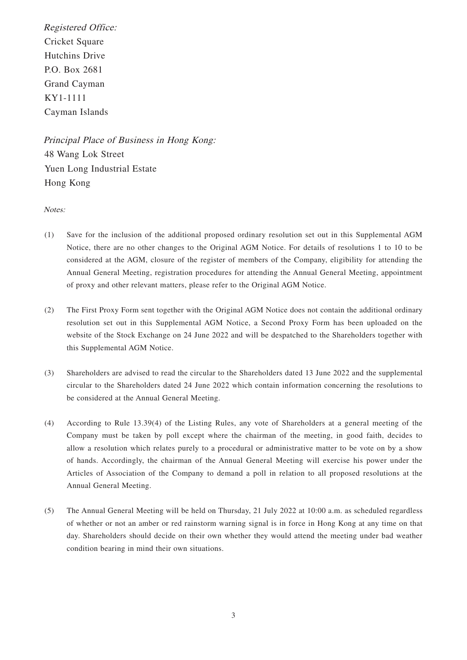Registered Office: Cricket Square Hutchins Drive P.O. Box 2681 Grand Cayman KY1-1111 Cayman Islands

Principal Place of Business in Hong Kong: 48 Wang Lok Street Yuen Long Industrial Estate Hong Kong

Notes:

- (1) Save for the inclusion of the additional proposed ordinary resolution set out in this Supplemental AGM Notice, there are no other changes to the Original AGM Notice. For details of resolutions 1 to 10 to be considered at the AGM, closure of the register of members of the Company, eligibility for attending the Annual General Meeting, registration procedures for attending the Annual General Meeting, appointment of proxy and other relevant matters, please refer to the Original AGM Notice.
- (2) The First Proxy Form sent together with the Original AGM Notice does not contain the additional ordinary resolution set out in this Supplemental AGM Notice, a Second Proxy Form has been uploaded on the website of the Stock Exchange on 24 June 2022 and will be despatched to the Shareholders together with this Supplemental AGM Notice.
- (3) Shareholders are advised to read the circular to the Shareholders dated 13 June 2022 and the supplemental circular to the Shareholders dated 24 June 2022 which contain information concerning the resolutions to be considered at the Annual General Meeting.
- (4) According to Rule 13.39(4) of the Listing Rules, any vote of Shareholders at a general meeting of the Company must be taken by poll except where the chairman of the meeting, in good faith, decides to allow a resolution which relates purely to a procedural or administrative matter to be vote on by a show of hands. Accordingly, the chairman of the Annual General Meeting will exercise his power under the Articles of Association of the Company to demand a poll in relation to all proposed resolutions at the Annual General Meeting.
- (5) The Annual General Meeting will be held on Thursday, 21 July 2022 at 10:00 a.m. as scheduled regardless of whether or not an amber or red rainstorm warning signal is in force in Hong Kong at any time on that day. Shareholders should decide on their own whether they would attend the meeting under bad weather condition bearing in mind their own situations.